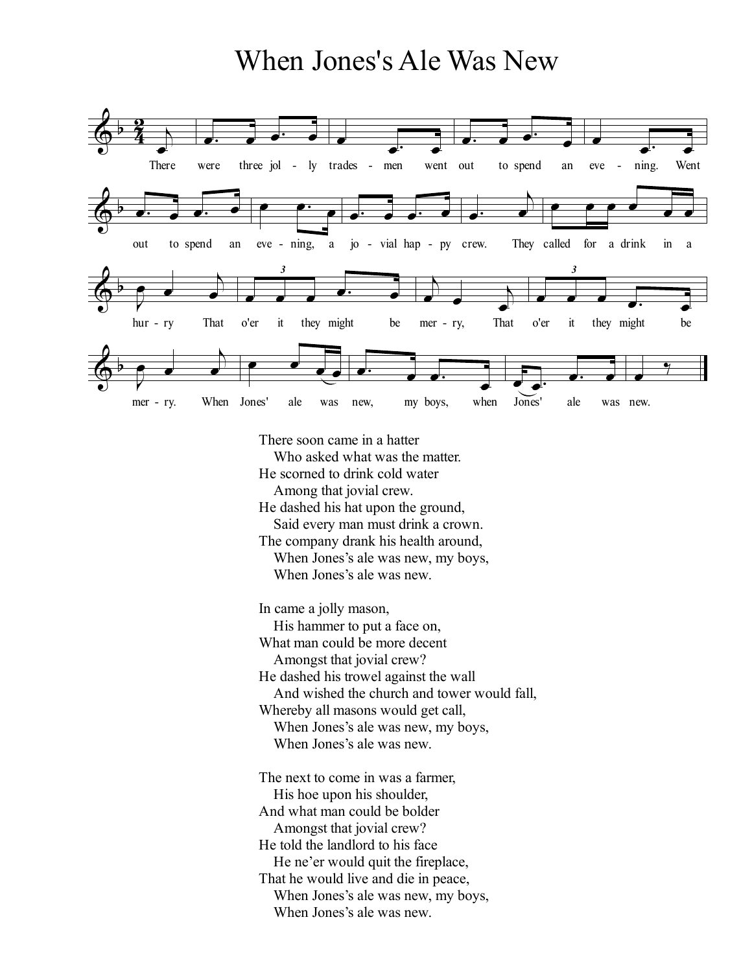## When Jones's Ale Was New



There soon came in a hatter Who asked what was the matter. He scorned to drink cold water Among that jovial crew. He dashed his hat upon the ground, Said every man must drink a crown. The company drank his health around, When Jones's ale was new, my boys, When Jones's ale was new. In came a jolly mason, His hammer to put a face on, What man could be more decent Amongst that jovial crew? He dashed his trowel against the wall And wished the church and tower would fall, Whereby all masons would get call,

When Jones's ale was new, my boys, When Jones's ale was new.

The next to come in was a farmer, His hoe upon his shoulder, And what man could be bolder Amongst that jovial crew? He told the landlord to his face He ne'er would quit the fireplace, That he would live and die in peace, When Jones's ale was new, my boys, When Jones's ale was new.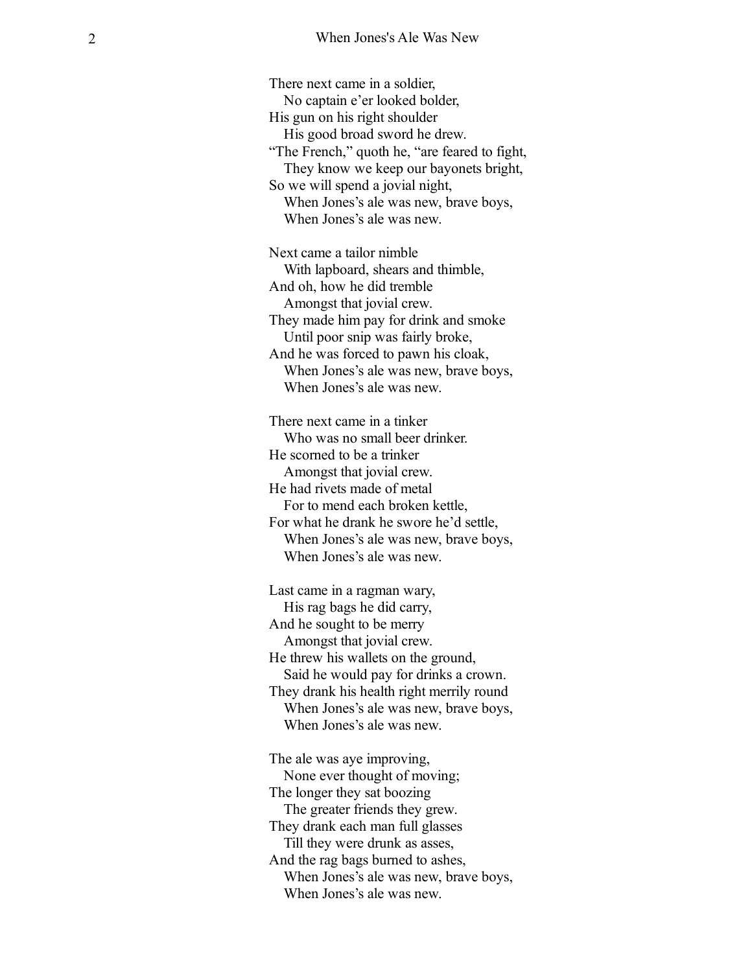There next came in a soldier, No captain e'er looked bolder, His gun on his right shoulder His good broad sword he drew. "The French," quoth he, "are feared to fight, They know we keep our bayonets bright, So we will spend a jovial night, When Jones's ale was new, brave boys, When Jones's ale was new. Next came a tailor nimble With lapboard, shears and thimble, And oh, how he did tremble Amongst that jovial crew. They made him pay for drink and smoke Until poor snip was fairly broke, And he was forced to pawn his cloak, When Jones's ale was new, brave boys, When Jones's ale was new. There next came in a tinker Who was no small beer drinker.

He scorned to be a trinker Amongst that jovial crew. He had rivets made of metal For to mend each broken kettle, For what he drank he swore he'd settle, When Jones's ale was new, brave boys, When Jones's ale was new.

Last came in a ragman wary, His rag bags he did carry, And he sought to be merry Amongst that jovial crew. He threw his wallets on the ground, Said he would pay for drinks a crown. They drank his health right merrily round When Jones's ale was new, brave boys , When Jones's ale was new.

The ale was aye improving, None ever thought of moving; The longer they sat boozing The greater friends they grew. They drank each man full glasse s Till they were drunk as asses, And the rag bags burned to ashes, When Jones's ale was new, brave boys, When Jones's ale was new.